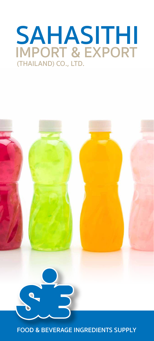# **SAHASITHI**<br>IMPORT & EXPORT (THAILAND) CO., LTD.



### **FOOD & BEVERAGE INGREDIENTS SUPPLY**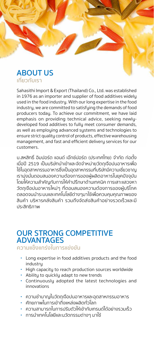### **ABOUT US** ้เกี่ยวกับเรา

Sahasithi Import & Export (Thailand) Co., Ltd. was established in 1976 as an importer and supplier of food additives widely used in the food industry. With our long expertise in the food industry, we are committed to satisfying the demands of food producers today. To achieve our commitment, we have laid emphasis on providing technical advice, seeking newlydeveloped food additives to fully meet consumer demands, as well as employing advanced systems and technologies to ensure strict quality control of products, effective warehousing management, and fast and efficient delivery services for our customers.

บ.สหสิทธิ์ อิมปอร์ต แอนด์ เอ๊กซ์ปอร์ต (ประเทศไทย) จำกัด ก่อตั้ง เมื่อปี 2519 เป็นบริษัทนำเข้าและจัดจำหน่ายวัตถเจือปนอาหารเพื่อ ใช้ในอุตสาหกรรมอาหารซึ่งเป็นอุตสาหกรรมที่บริษัทมีความเชี่ยวชาญ เราม่งมั่นตอบสนองความต้องการของผัผลิตอาหารในยคปัจจบัน โดยให้ความสำคัญกับการให้คำปรึกษาด้านเทคนิค การเสาะแสวงหา วัตถุเจือปนอาหารใหม่ๆ ที่ตอบสนองความต้องการของผู้บริโภค ตลอดจนนำระบบและเทคโนโลยีต่างๆมาใช้เพื่อควบคมคณภาพของ สินค้า บริหารคลังสินค้า รวมถึงจัดส่งสินค้าอย่างรวดเร็วและมี ประสิทธิภาพ

## **OUR STRONG COMPETITIVE<br>ADVANTAGES**

ความแข็งแกร่งในการแข่งขัน

- Long expertise in food additives products and the food industry
- High capacity to reach production sources worldwide
- Ability to quickly adapt to new trends
- Continuously adopted the latest technologies and innovations
- ความชำนาญในวัตถุเจือปนอาหารและอุตสาหกรรมอาหาร
- ่ ศักยภาพในการเข้าถึงแหล่งผลิตทั่วโลก
- ความสามารถในการปรับตัวให้เข้ากับเทรนด์ได้อย่างรวมเร็ว
- การนำเทคโนโลยีและนวัตกรรมต่างๆ มาใช้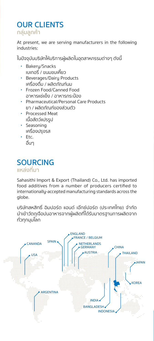## **OUR CLIENTS** กลุ่มลูกค้า

At present, we are serving manufacturers in the following industries:

้ในปัจจบันบริษัทให้บริการผัผลิตในอตสาหกรรมต่างๆ ดังนี้

- Bakery/Snacks ้าบเกอรี่ / ขนมขบเคี้ยว
- **Beverages/Dairy Products** เครื่องดื่ม / ผลิตภัณฑ์นม
- Frozen Food/Canned Food อาหารแช่แข็ง / อาหารกระป๋อง
- Pharmaceutical/Personal Care Products ยา / ผลิตภัณฑ์ของส่วนตัว
- **Processed Meat** เนื้อสัตว์แปรรูป
- Seasoning ้เครื่องปรงรส
- $\cdot$  Etc. อื่นๆ

## **SOURCING**

### แหล่งที่มา

Sahasithi Import & Export (Thailand) Co., Ltd. has imported food additives from a number of producers certified to internationally-accepted manufacturing standards across the globe.

บริษัทสหสิทธิ์ อิมปอร์ต แอนด์ เอ๊กซ์ปอร์ต (ประเทศไทย) จำกัด นำเข้าวัตถุเจือปนอาหารจากผู้ผลิตที่ได้รับมาตรฐานการผลิตจาก ทั่วทุกมุมโลก

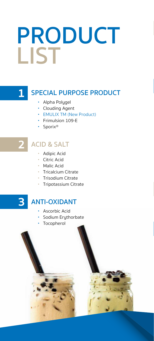## PRODUCT LIST

## $\mathbf{1}$

## **SPECIAL PURPOSE PRODUCT**

- Alpha Polygel
- Clouding Agent
- EMULIX TM (New Product)
- Frimulsion 109-E
- · Sporix<sup>®</sup>

## **ACID & SALT**

- Adipic Acid
- · Citric Acid
- Malic Acid
- Tricalcium Citrate
- Trisodium Citrate
- · Tripotassium Citrate

#### $\overline{\mathbf{3}}$ **ANTI-OXIDANT**

- · Ascorbic Acid
- · Sodium Erythorbate
- Tocopherol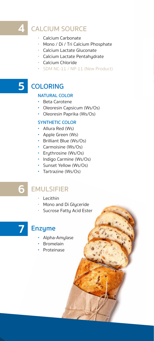## **CALCIUM SOURCE**

- Calcium Carbonate
- Mono / Di / Tri Calcium Phosphate
- Calcium Lactate Gluconate
- · Calcium Lactate Pentahydrate
- Calcium Chloride
- SDM NC-11 / NP-11 (New Product)

## 5 COLORING

#### **NATURAL COLOR**

- Beta Carotene
- Oleoresin Capsicum (Ws/Os)
- Oleoresin Paprika (Ws/Os)

#### **SYNTHETIC COLOR**

- Allura Red (Ws)
- Apple Green (Ws)
- Brilliant Blue (Ws/Os)
- Carmoisine (Ws/Os)
- Erythrosine (Ws/Os)
- Indigo Carmine (Ws/Os)
- · Sunset Yellow (Ws/Os)
- Tartrazine (Ws/Os)

## **EMULSIFIER**

- Lecithin
- Mono and Di Glyceride
- · Sucrose Fatty Acid Ester

## **Enzyme**

- Alpha-Amylase
- Bromelain
- Proteinase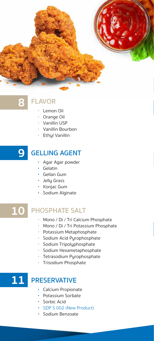

## 8

## **FLAVOR**

- Lemon Oil
- Orange Oil
- Vanillin USP
- Vanillin Bourbon
- Ethyl Vanillin

#### **GELLING AGENT** 9

- Agar Agar powder
- · Gelatin
- Gellan Gum
- Jelly Grass
- Konjac Gum
- · Sodium Alginate

#### 10 **PHOSPHATE SALT**

- Mono / Di / Tri Calcium Phosphate
- Mono / Di / Tri Potassium Phosphate
- Potassium Metaphosphate
- · Sodium Acid Pyrophosphate
- · Sodium Tripolyphosphate
- · Sodium Hexametaphosphate
- · Tetrasodium Pyrophosphate
- · Trisodium Phosphate

## 11 PRESERVATIVE

- Calcium Propionate
- Potassium Sorbate
- · Sorbic Acid
- · SDP S 002 (New Product)
- · Sodium Benzoate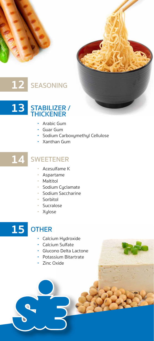





- Arabic Gum
- Guar Gum
- · Sodium Carboxymethyl Cellulose
- Xanthan Gum

#### 14 SWEETENER

- Acesulfame K
- · Aspartame
- Maltitol
- · Sodium Cyclamate
- · Sodium Saccharine
- · Sorbitol
- · Sucralose
- · Xylose



## **OTHER**

- · Calcium Hydroxide
- Calcium Sulfate
- · Glucono Delta Lactone
- Potassium Bitartrate
- Zinc Oxide